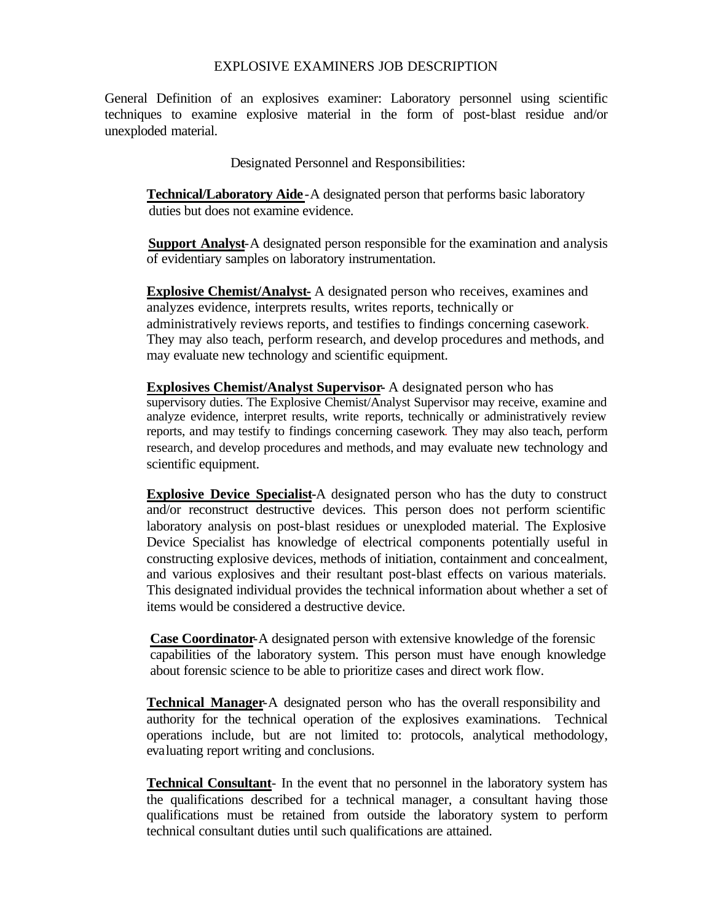# EXPLOSIVE EXAMINERS JOB DESCRIPTION

General Definition of an explosives examiner: Laboratory personnel using scientific techniques to examine explosive material in the form of post-blast residue and/or unexploded material.

Designated Personnel and Responsibilities:

**Technical/Laboratory Aide**-A designated person that performs basic laboratory duties but does not examine evidence.

 **Support Analyst**-A designated person responsible for the examination and analysis of evidentiary samples on laboratory instrumentation.

**Explosive Chemist/Analyst-** A designated person who receives, examines and analyzes evidence, interprets results, writes reports, technically or administratively reviews reports, and testifies to findings concerning casework. They may also teach, perform research, and develop procedures and methods, and may evaluate new technology and scientific equipment.

# **Explosives Chemist/Analyst Supervisor-** A designated person who has supervisory duties. The Explosive Chemist/Analyst Supervisor may receive, examine and analyze evidence, interpret results, write reports, technically or administratively review reports, and may testify to findings concerning casework. They may also teach, perform research, and develop procedures and methods, and may evaluate new technology and

scientific equipment.

**Explosive Device Specialist-**A designated person who has the duty to construct and/or reconstruct destructive devices. This person does not perform scientific laboratory analysis on post-blast residues or unexploded material. The Explosive Device Specialist has knowledge of electrical components potentially useful in constructing explosive devices, methods of initiation, containment and concealment, and various explosives and their resultant post-blast effects on various materials. This designated individual provides the technical information about whether a set of items would be considered a destructive device.

**Case Coordinator**-A designated person with extensive knowledge of the forensic capabilities of the laboratory system. This person must have enough knowledge about forensic science to be able to prioritize cases and direct work flow.

**Technical Manager**-A designated person who has the overall responsibility and authority for the technical operation of the explosives examinations. Technical operations include, but are not limited to: protocols, analytical methodology, evaluating report writing and conclusions.

**Technical Consultant**- In the event that no personnel in the laboratory system has the qualifications described for a technical manager, a consultant having those qualifications must be retained from outside the laboratory system to perform technical consultant duties until such qualifications are attained.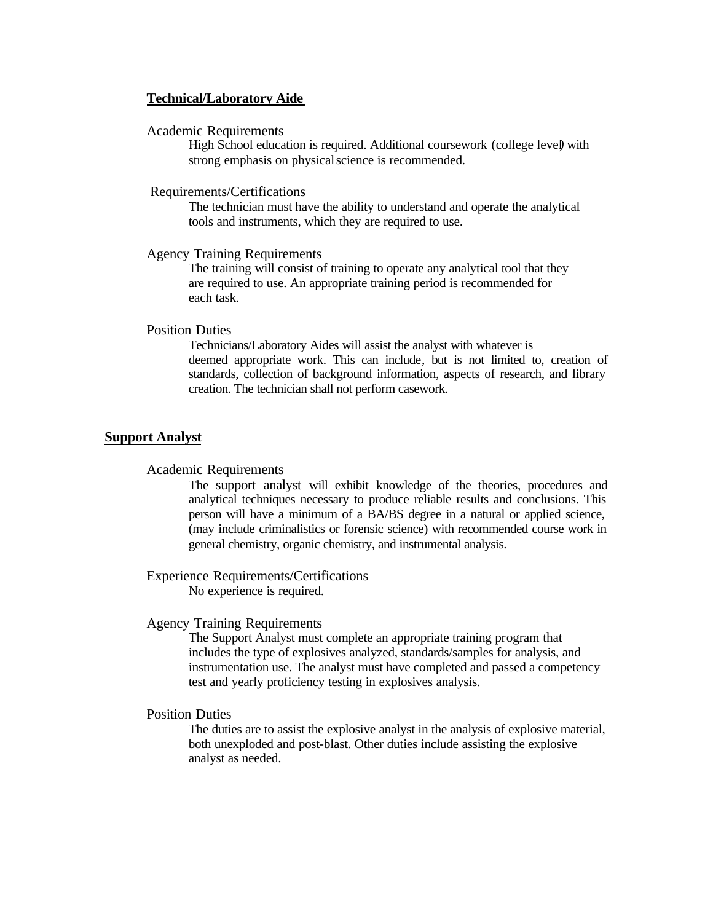# **Technical/Laboratory Aide**

# Academic Requirements

High School education is required. Additional coursework (college level*)* with strong emphasis on physical science is recommended.

### Requirements/Certifications

The technician must have the ability to understand and operate the analytical tools and instruments, which they are required to use.

# Agency Training Requirements

The training will consist of training to operate any analytical tool that they are required to use. An appropriate training period is recommended for each task.

# Position Duties

Technicians/Laboratory Aides will assist the analyst with whatever is deemed appropriate work. This can include, but is not limited to, creation of standards, collection of background information, aspects of research, and library creation. The technician shall not perform casework.

# **Support Analyst**

#### Academic Requirements

The support analyst will exhibit knowledge of the theories, procedures and analytical techniques necessary to produce reliable results and conclusions. This person will have a minimum of a BA/BS degree in a natural or applied science, (may include criminalistics or forensic science) with recommended course work in general chemistry, organic chemistry, and instrumental analysis.

# Experience Requirements/Certifications

No experience is required.

# Agency Training Requirements

The Support Analyst must complete an appropriate training program that includes the type of explosives analyzed, standards/samples for analysis, and instrumentation use. The analyst must have completed and passed a competency test and yearly proficiency testing in explosives analysis.

# Position Duties

The duties are to assist the explosive analyst in the analysis of explosive material, both unexploded and post-blast. Other duties include assisting the explosive analyst as needed.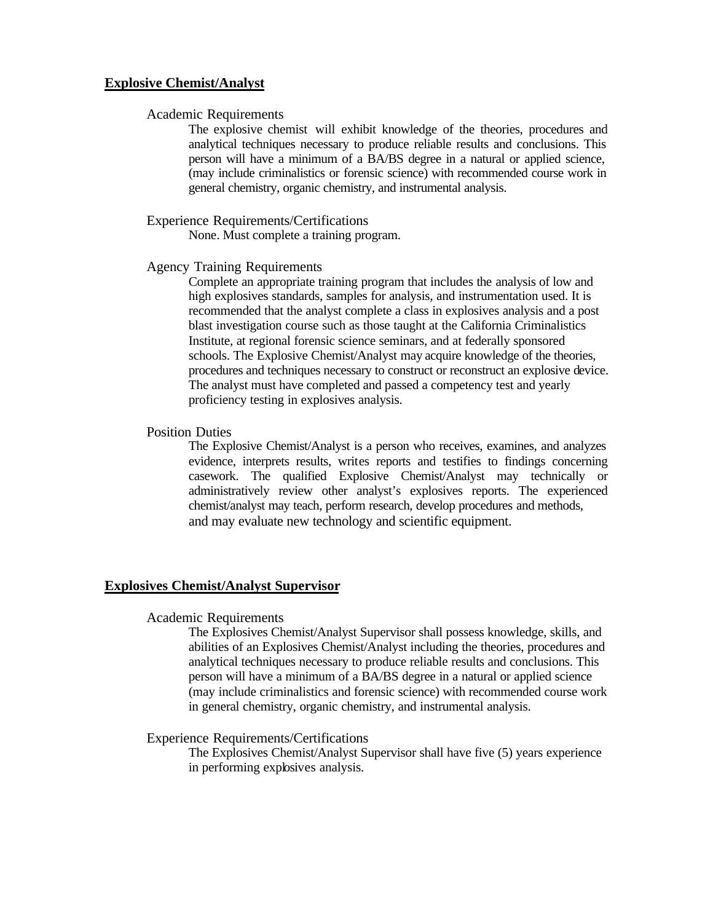# **Explosive Chemist/Analyst**

### Academic Requirements

The explosive chemist will exhibit knowledge of the theories, procedures and analytical techniques necessary to produce reliable results and conclusions. This person will have a minimum of a BA/BS degree in a natural or applied science, (may include criminalistics or forensic science) with recommended course work in general chemistry, organic chemistry, and instrumental analysis.

#### Experience Requirements/Certifications

None. Must complete a training program.

#### Agency Training Requirements

Complete an appropriate training program that includes the analysis of low and high explosives standards, samples for analysis, and instrumentation used. It is recommended that the analyst complete a class in explosives analysis and a post blast investigation course such as those taught at the California Criminalistics Institute, at regional forensic science seminars, and at federally sponsored schools. The Explosive Chemist/Analyst may acquire knowledge of the theories, procedures and techniques necessary to construct or reconstruct an explosive device. The analyst must have completed and passed a competency test and yearly proficiency testing in explosives analysis.

### Position Duties

The Explosive Chemist/Analyst is a person who receives, examines, and analyzes evidence, interprets results, writes reports and testifies to findings concerning casework. The qualified Explosive Chemist/Analyst may technically or administratively review other analyst's explosives reports. The experienced chemist/analyst may teach, perform research, develop procedures and methods, and may evaluate new technology and scientific equipment.

### **Explosives Chemist/Analyst Supervisor**

#### Academic Requirements

The Explosives Chemist/Analyst Supervisor shall possess knowledge, skills, and abilities of an Explosives Chemist/Analyst including the theories, procedures and analytical techniques necessary to produce reliable results and conclusions. This person will have a minimum of a BA/BS degree in a natural or applied science (may include criminalistics and forensic science) with recommended course work in general chemistry, organic chemistry, and instrumental analysis.

# Experience Requirements/Certifications

The Explosives Chemist/Analyst Supervisor shall have five (5) years experience in performing explosives analysis.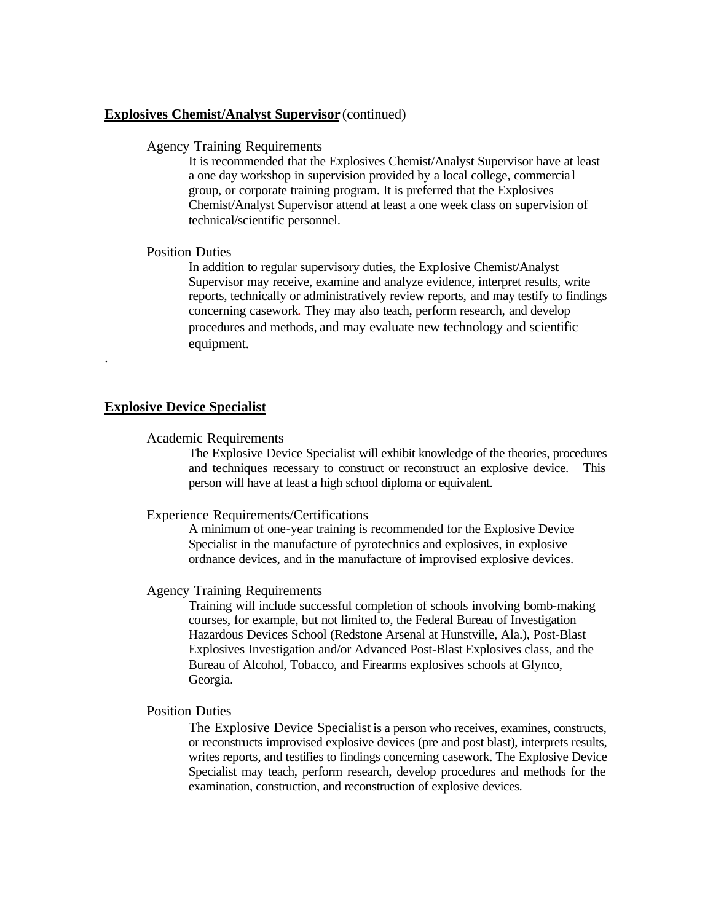# **Explosives Chemist/Analyst Supervisor** (continued)

#### Agency Training Requirements

It is recommended that the Explosives Chemist/Analyst Supervisor have at least a one day workshop in supervision provided by a local college, commercia l group, or corporate training program. It is preferred that the Explosives Chemist/Analyst Supervisor attend at least a one week class on supervision of technical/scientific personnel.

# Position Duties

In addition to regular supervisory duties, the Explosive Chemist/Analyst Supervisor may receive, examine and analyze evidence, interpret results, write reports, technically or administratively review reports, and may testify to findings concerning casework. They may also teach, perform research, and develop procedures and methods, and may evaluate new technology and scientific equipment.

## **Explosive Device Specialist**

.

### Academic Requirements

The Explosive Device Specialist will exhibit knowledge of the theories, procedures and techniques necessary to construct or reconstruct an explosive device. This person will have at least a high school diploma or equivalent.

### Experience Requirements/Certifications

A minimum of one-year training is recommended for the Explosive Device Specialist in the manufacture of pyrotechnics and explosives, in explosive ordnance devices, and in the manufacture of improvised explosive devices.

#### Agency Training Requirements

Training will include successful completion of schools involving bomb-making courses, for example, but not limited to, the Federal Bureau of Investigation Hazardous Devices School (Redstone Arsenal at Hunstville, Ala.), Post-Blast Explosives Investigation and/or Advanced Post-Blast Explosives class, and the Bureau of Alcohol, Tobacco, and Firearms explosives schools at Glynco, Georgia.

### Position Duties

The Explosive Device Specialist is a person who receives, examines, constructs, or reconstructs improvised explosive devices (pre and post blast), interprets results, writes reports, and testifies to findings concerning casework. The Explosive Device Specialist may teach, perform research, develop procedures and methods for the examination, construction, and reconstruction of explosive devices.